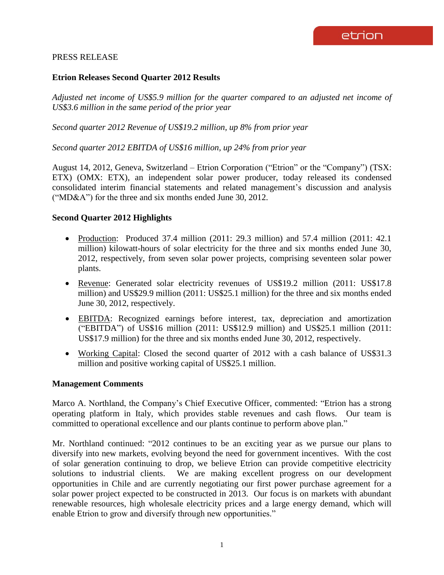# PRESS RELEASE

# **Etrion Releases Second Quarter 2012 Results**

*Adjusted net income of US\$5.9 million for the quarter compared to an adjusted net income of US\$3.6 million in the same period of the prior year*

*Second quarter 2012 Revenue of US\$19.2 million, up 8% from prior year*

*Second quarter 2012 EBITDA of US\$16 million, up 24% from prior year*

August 14, 2012, Geneva, Switzerland – Etrion Corporation ("Etrion" or the "Company") (TSX: ETX) (OMX: ETX), an independent solar power producer, today released its condensed consolidated interim financial statements and related management's discussion and analysis ("MD&A") for the three and six months ended June 30, 2012.

## **Second Quarter 2012 Highlights**

- Production: Produced 37.4 million (2011: 29.3 million) and 57.4 million (2011: 42.1) million) kilowatt-hours of solar electricity for the three and six months ended June 30, 2012, respectively, from seven solar power projects, comprising seventeen solar power plants.
- Revenue: Generated solar electricity revenues of US\$19.2 million (2011: US\$17.8 million) and US\$29.9 million (2011: US\$25.1 million) for the three and six months ended June 30, 2012, respectively.
- EBITDA: Recognized earnings before interest, tax, depreciation and amortization ("EBITDA") of US\$16 million (2011: US\$12.9 million) and US\$25.1 million (2011: US\$17.9 million) for the three and six months ended June 30, 2012, respectively.
- Working Capital: Closed the second quarter of 2012 with a cash balance of US\$31.3 million and positive working capital of US\$25.1 million.

#### **Management Comments**

Marco A. Northland, the Company's Chief Executive Officer, commented: "Etrion has a strong operating platform in Italy, which provides stable revenues and cash flows. Our team is committed to operational excellence and our plants continue to perform above plan."

Mr. Northland continued: "2012 continues to be an exciting year as we pursue our plans to diversify into new markets, evolving beyond the need for government incentives. With the cost of solar generation continuing to drop, we believe Etrion can provide competitive electricity solutions to industrial clients. We are making excellent progress on our development opportunities in Chile and are currently negotiating our first power purchase agreement for a solar power project expected to be constructed in 2013. Our focus is on markets with abundant renewable resources, high wholesale electricity prices and a large energy demand, which will enable Etrion to grow and diversify through new opportunities."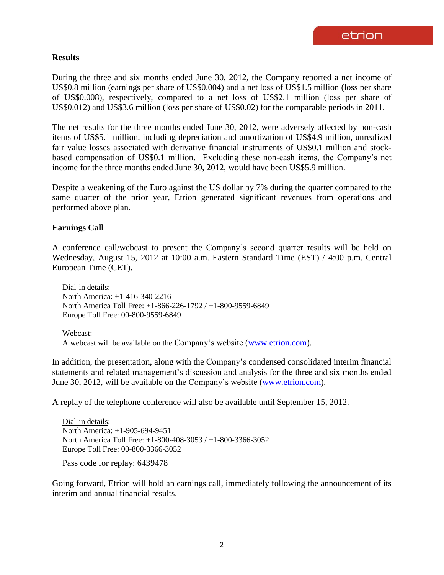# **Results**

During the three and six months ended June 30, 2012, the Company reported a net income of US\$0.8 million (earnings per share of US\$0.004) and a net loss of US\$1.5 million (loss per share of US\$0.008), respectively, compared to a net loss of US\$2.1 million (loss per share of US\$0.012) and US\$3.6 million (loss per share of US\$0.02) for the comparable periods in 2011.

The net results for the three months ended June 30, 2012, were adversely affected by non-cash items of US\$5.1 million, including depreciation and amortization of US\$4.9 million, unrealized fair value losses associated with derivative financial instruments of US\$0.1 million and stockbased compensation of US\$0.1 million. Excluding these non-cash items, the Company's net income for the three months ended June 30, 2012, would have been US\$5.9 million.

Despite a weakening of the Euro against the US dollar by 7% during the quarter compared to the same quarter of the prior year, Etrion generated significant revenues from operations and performed above plan.

## **Earnings Call**

A conference call/webcast to present the Company's second quarter results will be held on Wednesday, August 15, 2012 at 10:00 a.m. Eastern Standard Time (EST) / 4:00 p.m. Central European Time (CET).

Dial-in details: North America: +1-416-340-2216 North America Toll Free: +1-866-226-1792 / +1-800-9559-6849 Europe Toll Free: 00-800-9559-6849

Webcast:

A webcast will be available on the Company's website [\(www.etrion.com\)](http://www.etrion.com/).

In addition, the presentation, along with the Company's condensed consolidated interim financial statements and related management's discussion and analysis for the three and six months ended June 30, 2012, will be available on the Company's website [\(www.etrion.com\)](http://www.etrion.com/).

A replay of the telephone conference will also be available until September 15, 2012.

Dial-in details: North America: +1-905-694-9451 North America Toll Free: +1-800-408-3053 / +1-800-3366-3052 Europe Toll Free: 00-800-3366-3052

Pass code for replay: 6439478

Going forward, Etrion will hold an earnings call, immediately following the announcement of its interim and annual financial results.